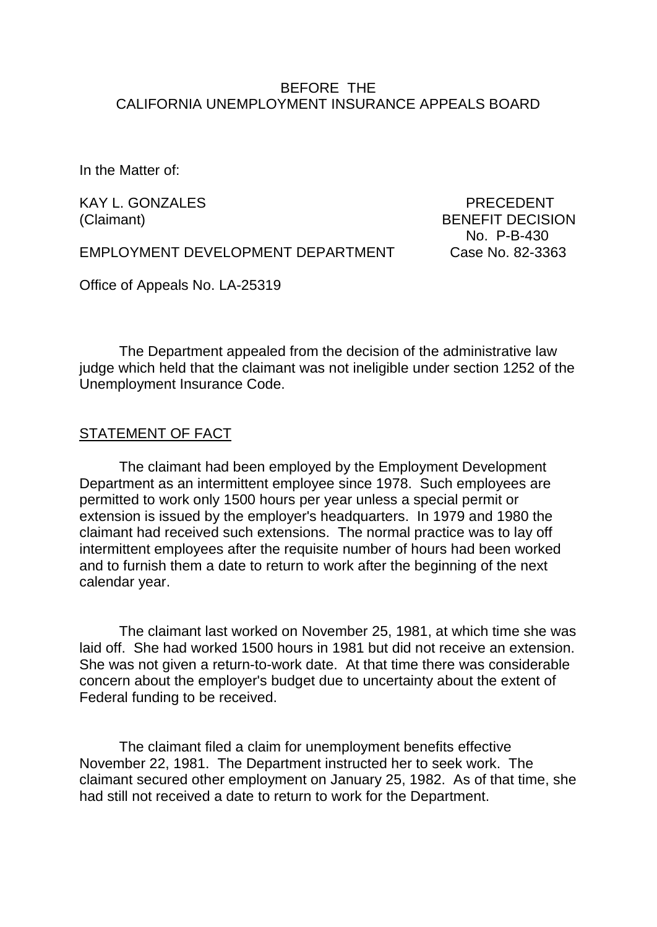### BEFORE THE CALIFORNIA UNEMPLOYMENT INSURANCE APPEALS BOARD

In the Matter of:

KAY L. GONZALES PRECEDENT

(Claimant) BENEFIT DECISION No. P-B-430

EMPLOYMENT DEVELOPMENT DEPARTMENT Case No. 82-3363

Office of Appeals No. LA-25319

The Department appealed from the decision of the administrative law judge which held that the claimant was not ineligible under section 1252 of the Unemployment Insurance Code.

#### STATEMENT OF FACT

The claimant had been employed by the Employment Development Department as an intermittent employee since 1978. Such employees are permitted to work only 1500 hours per year unless a special permit or extension is issued by the employer's headquarters. In 1979 and 1980 the claimant had received such extensions. The normal practice was to lay off intermittent employees after the requisite number of hours had been worked and to furnish them a date to return to work after the beginning of the next calendar year.

The claimant last worked on November 25, 1981, at which time she was laid off. She had worked 1500 hours in 1981 but did not receive an extension. She was not given a return-to-work date. At that time there was considerable concern about the employer's budget due to uncertainty about the extent of Federal funding to be received.

The claimant filed a claim for unemployment benefits effective November 22, 1981. The Department instructed her to seek work. The claimant secured other employment on January 25, 1982. As of that time, she had still not received a date to return to work for the Department.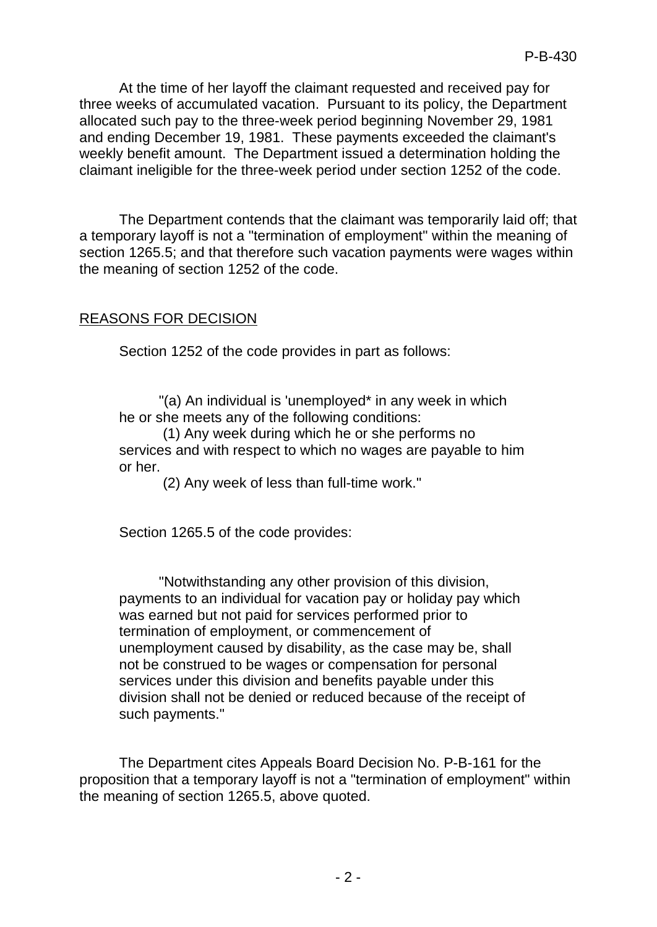At the time of her layoff the claimant requested and received pay for three weeks of accumulated vacation. Pursuant to its policy, the Department allocated such pay to the three-week period beginning November 29, 1981 and ending December 19, 1981. These payments exceeded the claimant's weekly benefit amount. The Department issued a determination holding the claimant ineligible for the three-week period under section 1252 of the code.

The Department contends that the claimant was temporarily laid off; that a temporary layoff is not a "termination of employment" within the meaning of section 1265.5; and that therefore such vacation payments were wages within the meaning of section 1252 of the code.

## REASONS FOR DECISION

Section 1252 of the code provides in part as follows:

"(a) An individual is 'unemployed\* in any week in which he or she meets any of the following conditions:

(1) Any week during which he or she performs no services and with respect to which no wages are payable to him or her.

(2) Any week of less than full-time work."

Section 1265.5 of the code provides:

"Notwithstanding any other provision of this division, payments to an individual for vacation pay or holiday pay which was earned but not paid for services performed prior to termination of employment, or commencement of unemployment caused by disability, as the case may be, shall not be construed to be wages or compensation for personal services under this division and benefits payable under this division shall not be denied or reduced because of the receipt of such payments."

The Department cites Appeals Board Decision No. P-B-161 for the proposition that a temporary layoff is not a "termination of employment" within the meaning of section 1265.5, above quoted.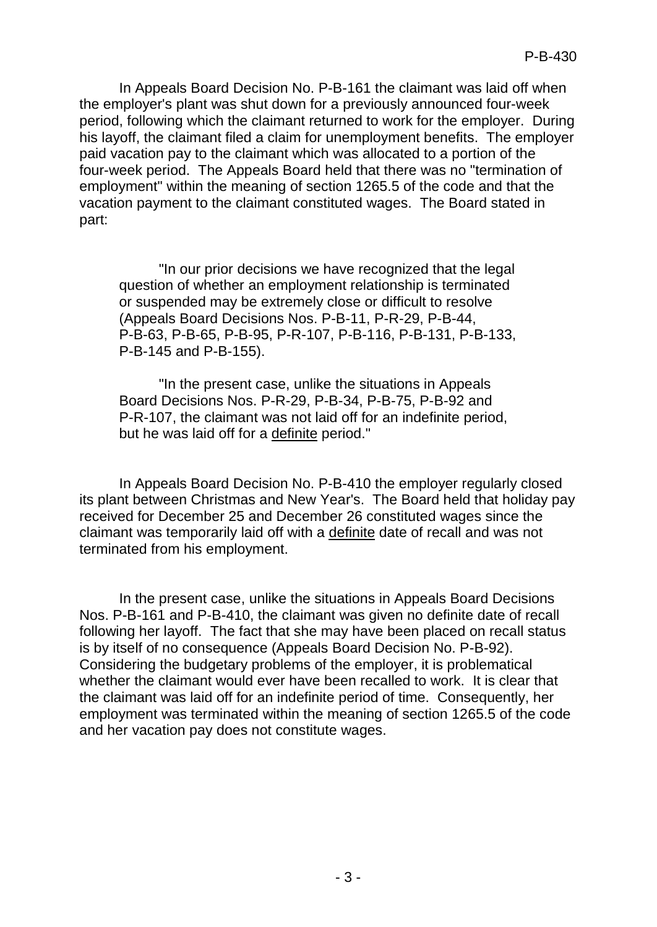In Appeals Board Decision No. P-B-161 the claimant was laid off when the employer's plant was shut down for a previously announced four-week period, following which the claimant returned to work for the employer. During his layoff, the claimant filed a claim for unemployment benefits. The employer paid vacation pay to the claimant which was allocated to a portion of the four-week period. The Appeals Board held that there was no "termination of employment" within the meaning of section 1265.5 of the code and that the vacation payment to the claimant constituted wages. The Board stated in part:

"In our prior decisions we have recognized that the legal question of whether an employment relationship is terminated or suspended may be extremely close or difficult to resolve (Appeals Board Decisions Nos. P-B-11, P-R-29, P-B-44, P-B-63, P-B-65, P-B-95, P-R-107, P-B-116, P-B-131, P-B-133, P-B-145 and P-B-155).

"In the present case, unlike the situations in Appeals Board Decisions Nos. P-R-29, P-B-34, P-B-75, P-B-92 and P-R-107, the claimant was not laid off for an indefinite period, but he was laid off for a definite period."

In Appeals Board Decision No. P-B-410 the employer regularly closed its plant between Christmas and New Year's. The Board held that holiday pay received for December 25 and December 26 constituted wages since the claimant was temporarily laid off with a definite date of recall and was not terminated from his employment.

In the present case, unlike the situations in Appeals Board Decisions Nos. P-B-161 and P-B-410, the claimant was given no definite date of recall following her layoff. The fact that she may have been placed on recall status is by itself of no consequence (Appeals Board Decision No. P-B-92). Considering the budgetary problems of the employer, it is problematical whether the claimant would ever have been recalled to work. It is clear that the claimant was laid off for an indefinite period of time. Consequently, her employment was terminated within the meaning of section 1265.5 of the code and her vacation pay does not constitute wages.